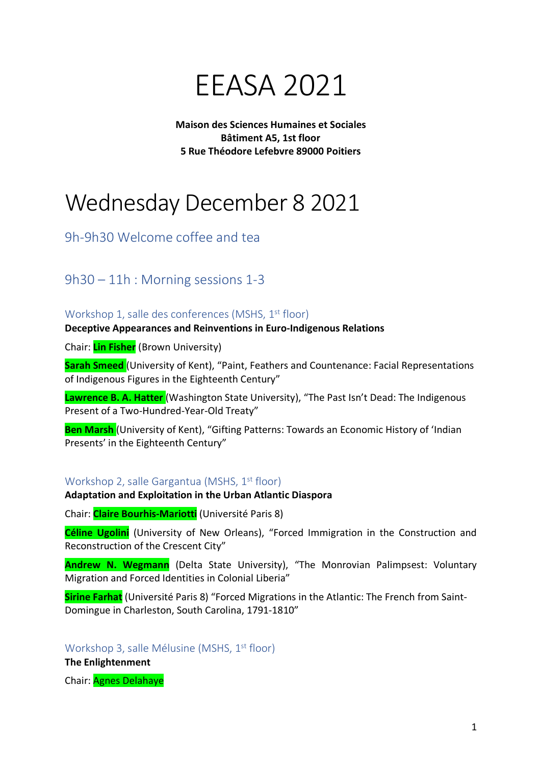

**Maison des Sciences Humaines et Sociales Bâtiment A5, 1st floor 5 Rue Théodore Lefebvre 89000 Poitiers**

# Wednesday December 8 2021

9h-9h30 Welcome coffee and tea

9h30 – 11h : Morning sessions 1-3

Workshop 1, salle des conferences (MSHS, 1<sup>st</sup> floor)

**Deceptive Appearances and Reinventions in Euro-Indigenous Relations**

Chair: **Lin Fisher** (Brown University)

**Sarah Smeed** (University of Kent), "Paint, Feathers and Countenance: Facial Representations of Indigenous Figures in the Eighteenth Century"

**Lawrence B. A. Hatter** (Washington State University), "The Past Isn't Dead: The Indigenous Present of a Two-Hundred-Year-Old Treaty"

**Ben Marsh** (University of Kent), "Gifting Patterns: Towards an Economic History of 'Indian Presents' in the Eighteenth Century"

## Workshop 2, salle Gargantua (MSHS, 1<sup>st</sup> floor)

#### **Adaptation and Exploitation in the Urban Atlantic Diaspora**

Chair: **Claire Bourhis-Mariotti** (Université Paris 8)

**Céline Ugolini** (University of New Orleans), "Forced Immigration in the Construction and Reconstruction of the Crescent City"

**Andrew N. Wegmann** (Delta State University), "The Monrovian Palimpsest: Voluntary Migration and Forced Identities in Colonial Liberia"

**Sirine Farhat** (Université Paris 8) "Forced Migrations in the Atlantic: The French from Saint-Domingue in Charleston, South Carolina, 1791-1810"

Workshop 3, salle Mélusine (MSHS, 1<sup>st</sup> floor)

**The Enlightenment**

Chair: Agnes Delahaye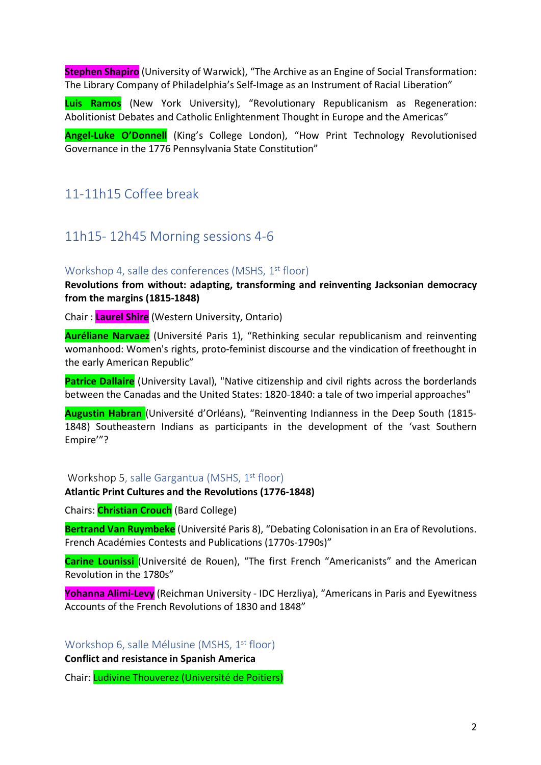**Stephen Shapiro** (University of Warwick), "The Archive as an Engine of Social Transformation: The Library Company of Philadelphia's Self-Image as an Instrument of Racial Liberation"

**Luis Ramos** (New York University), "Revolutionary Republicanism as Regeneration: Abolitionist Debates and Catholic Enlightenment Thought in Europe and the Americas"

**Angel-Luke O'Donnell** (King's College London), "How Print Technology Revolutionised Governance in the 1776 Pennsylvania State Constitution"

## 11-11h15 Coffee break

## 11h15- 12h45 Morning sessions 4-6

## Workshop 4, salle des conferences (MSHS, 1<sup>st</sup> floor)

**Revolutions from without: adapting, transforming and reinventing Jacksonian democracy from the margins (1815-1848)**

Chair : **Laurel Shire** (Western University, Ontario)

**Auréliane Narvaez** (Université Paris 1), "Rethinking secular republicanism and reinventing womanhood: Women's rights, proto-feminist discourse and the vindication of freethought in the early American Republic"

**Patrice Dallaire** (University Laval), "Native citizenship and civil rights across the borderlands between the Canadas and the United States: 1820-1840: a tale of two imperial approaches"

**Augustin Habran** (Université d'Orléans), "Reinventing Indianness in the Deep South (1815- 1848) Southeastern Indians as participants in the development of the 'vast Southern Empire'"?

#### Workshop 5, salle Gargantua (MSHS, 1<sup>st</sup> floor)

#### **Atlantic Print Cultures and the Revolutions (1776-1848)**

Chairs: **Christian Crouch** (Bard College)

**Bertrand Van Ruymbeke** (Université Paris 8), "Debating Colonisation in an Era of Revolutions. French Académies Contests and Publications (1770s-1790s)"

**Carine Lounissi** (Université de Rouen), "The first French "Americanists" and the American Revolution in the 1780s"

**Yohanna Alimi-Levy** (Reichman University - IDC Herzliya), "Americans in Paris and Eyewitness Accounts of the French Revolutions of 1830 and 1848"

Workshop 6, salle Mélusine (MSHS, 1<sup>st</sup> floor) **Conflict and resistance in Spanish America**

Chair: Ludivine Thouverez (Université de Poitiers)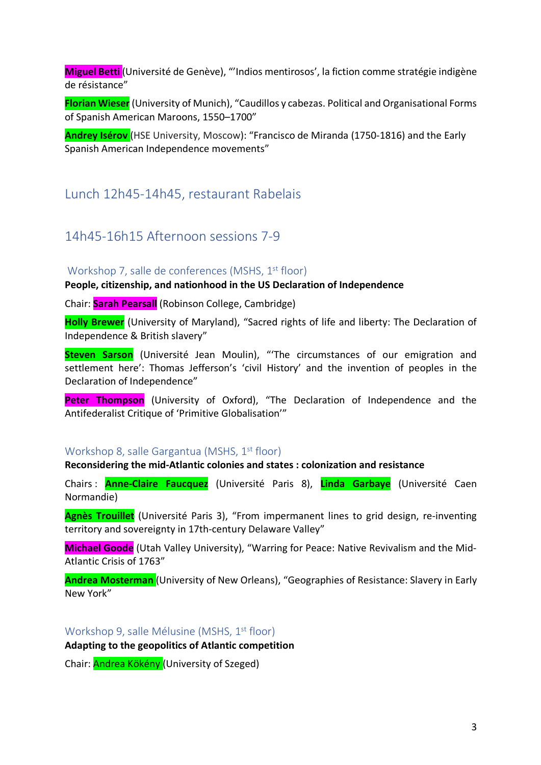**Miguel Betti** (Université de Genève), "'Indios mentirosos', la fiction comme stratégie indigène de résistance"

**Florian Wieser** (University of Munich), "Caudillos y cabezas. Political and Organisational Forms of Spanish American Maroons, 1550–1700"

**Andrey Isérov** (HSE University, Moscow): "Francisco de Miranda (1750-1816) and the Early Spanish American Independence movements"

## Lunch 12h45-14h45, restaurant Rabelais

## 14h45-16h15 Afternoon sessions 7-9

## Workshop 7, salle de conferences (MSHS, 1<sup>st</sup> floor)

**People, citizenship, and nationhood in the US Declaration of Independence**

Chair: **Sarah Pearsall** (Robinson College, Cambridge)

**Holly Brewer** (University of Maryland), "Sacred rights of life and liberty: The Declaration of Independence & British slavery"

**Steven Sarson** (Université Jean Moulin), "'The circumstances of our emigration and settlement here': Thomas Jefferson's 'civil History' and the invention of peoples in the Declaration of Independence"

Peter Thompson (University of Oxford), "The Declaration of Independence and the Antifederalist Critique of 'Primitive Globalisation'"

#### Workshop 8, salle Gargantua (MSHS, 1<sup>st</sup> floor)

#### **Reconsidering the mid-Atlantic colonies and states : colonization and resistance**

Chairs : **Anne-Claire Faucquez** (Université Paris 8), **Linda Garbaye** (Université Caen Normandie)

**Agnès Trouillet** (Université Paris 3), "From impermanent lines to grid design, re-inventing territory and sovereignty in 17th-century Delaware Valley"

**Michael Goode** (Utah Valley University), "Warring for Peace: Native Revivalism and the Mid-Atlantic Crisis of 1763"

**Andrea Mosterman** (University of New Orleans), "Geographies of Resistance: Slavery in Early New York"

Workshop 9, salle Mélusine (MSHS, 1<sup>st</sup> floor) **Adapting to the geopolitics of Atlantic competition**

Chair: Andrea Kökény (University of Szeged)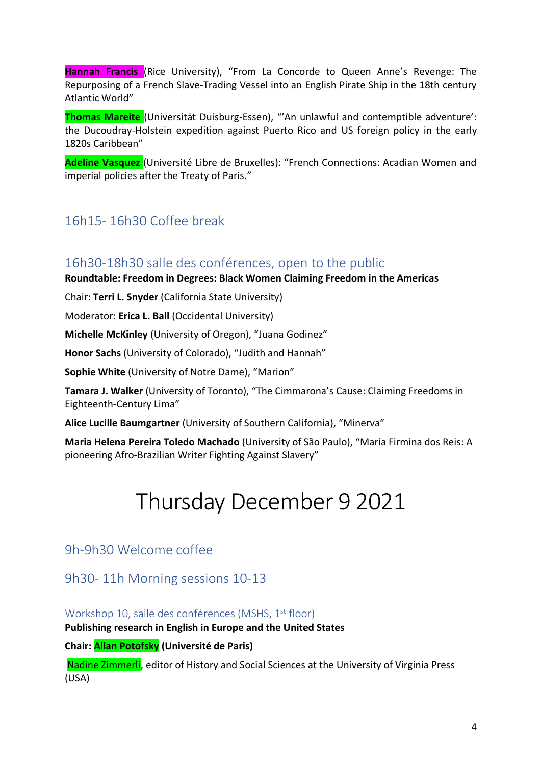**Hannah Francis** (Rice University), "From La Concorde to Queen Anne's Revenge: The Repurposing of a French Slave-Trading Vessel into an English Pirate Ship in the 18th century Atlantic World"

**Thomas Mareite** (Universität Duisburg-Essen), "'An unlawful and contemptible adventure': the Ducoudray-Holstein expedition against Puerto Rico and US foreign policy in the early 1820s Caribbean"

**Adeline Vasquez** (Université Libre de Bruxelles): "French Connections: Acadian Women and imperial policies after the Treaty of Paris."

## 16h15- 16h30 Coffee break

## 16h30-18h30 salle des conférences, open to the public

**Roundtable: Freedom in Degrees: Black Women Claiming Freedom in the Americas**

Chair: **Terri L. Snyder** (California State University)

Moderator: **Erica L. Ball** (Occidental University)

**Michelle McKinley** (University of Oregon), "Juana Godinez"

**Honor Sachs** (University of Colorado), "Judith and Hannah"

**Sophie White** (University of Notre Dame), "Marion"

**Tamara J. Walker** (University of Toronto), "The Cimmarona's Cause: Claiming Freedoms in Eighteenth-Century Lima"

**Alice Lucille Baumgartner** (University of Southern California), "Minerva"

**Maria Helena Pereira Toledo Machado** (University of São Paulo), "Maria Firmina dos Reis: A pioneering Afro-Brazilian Writer Fighting Against Slavery"

# Thursday December 9 2021

## 9h-9h30 Welcome coffee

9h30- 11h Morning sessions 10-13

Workshop 10, salle des conférences (MSHS, 1<sup>st</sup> floor)

**Publishing research in English in Europe and the United States**

**Chair: Allan Potofsky (Université de Paris)**

Nadine Zimmerli, editor of History and Social Sciences at the University of Virginia Press (USA)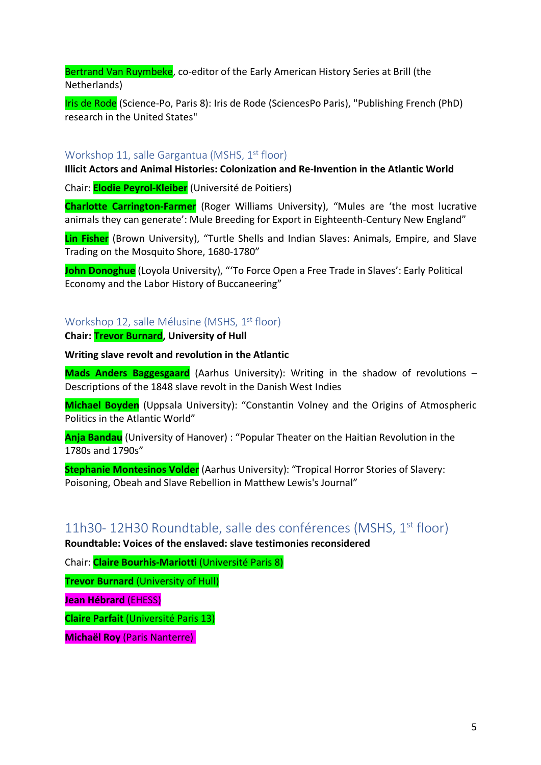Bertrand Van Ruymbeke, co-editor of the Early American History Series at Brill (the Netherlands)

Iris de Rode (Science-Po, Paris 8): Iris de Rode (SciencesPo Paris), "Publishing French (PhD) research in the United States"

## Workshop 11, salle Gargantua (MSHS, 1<sup>st</sup> floor)

**Illicit Actors and Animal Histories: Colonization and Re-Invention in the Atlantic World**

Chair: **Elodie Peyrol-Kleiber** (Université de Poitiers)

**Charlotte Carrington-Farmer** (Roger Williams University), "Mules are 'the most lucrative animals they can generate': Mule Breeding for Export in Eighteenth-Century New England"

**Lin Fisher** (Brown University), "Turtle Shells and Indian Slaves: Animals, Empire, and Slave Trading on the Mosquito Shore, 1680-1780"

**John Donoghue** (Loyola University), "'To Force Open a Free Trade in Slaves': Early Political Economy and the Labor History of Buccaneering"

## Workshop 12, salle Mélusine (MSHS, 1<sup>st</sup> floor)

**Chair: Trevor Burnard, University of Hull**

#### **Writing slave revolt and revolution in the Atlantic**

**Mads Anders Baggesgaard** (Aarhus University): Writing in the shadow of revolutions – Descriptions of the 1848 slave revolt in the Danish West Indies

**Michael Boyden** (Uppsala University): "Constantin Volney and the Origins of Atmospheric Politics in the Atlantic World"

**Anja Bandau** (University of Hanover) : "Popular Theater on the Haitian Revolution in the 1780s and 1790s"

**Stephanie Montesinos Volder** (Aarhus University): "Tropical Horror Stories of Slavery: Poisoning, Obeah and Slave Rebellion in Matthew Lewis's Journal"

## 11h30- 12H30 Roundtable, salle des conférences (MSHS, 1st floor)

**Roundtable: Voices of the enslaved: slave testimonies reconsidered**

Chair: **Claire Bourhis-Mariotti** (Université Paris 8)

**Trevor Burnard** (University of Hull)

**Jean Hébrard** (EHESS)

**Claire Parfait** (Université Paris 13)

**Michaël Roy** (Paris Nanterre)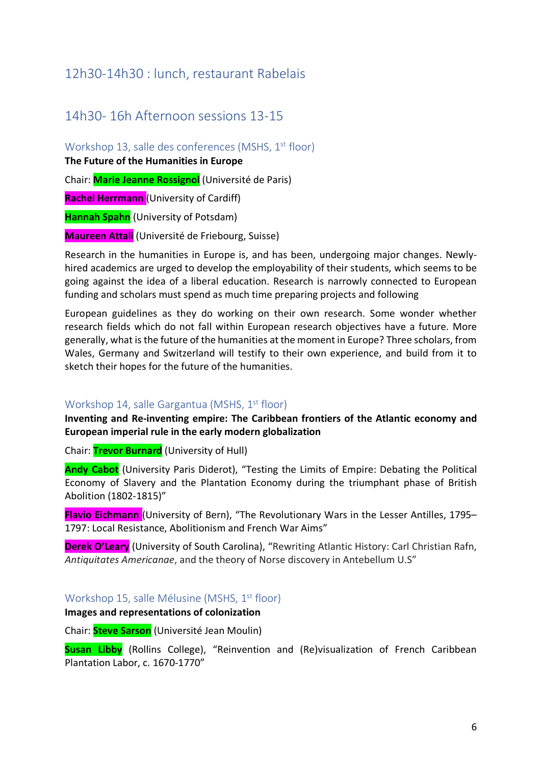## 12h30-14h30 : lunch, restaurant Rabelais

## 14h30- 16h Afternoon sessions 13-15

Workshop 13, salle des conferences (MSHS, 1<sup>st</sup> floor) **The Future of the Humanities in Europe**

Chair: **Marie Jeanne Rossignol** (Université de Paris)

**Rachel Herrmann** (University of Cardiff)

**Hannah Spahn** (University of Potsdam)

**Maureen Attali** (Université de Friebourg, Suisse)

Research in the humanities in Europe is, and has been, undergoing major changes. Newlyhired academics are urged to develop the employability of their students, which seems to be going against the idea of a liberal education. Research is narrowly connected to European funding and scholars must spend as much time preparing projects and following

European guidelines as they do working on their own research. Some wonder whether research fields which do not fall within European research objectives have a future. More generally, what is the future of the humanities at the moment in Europe? Three scholars, from Wales, Germany and Switzerland will testify to their own experience, and build from it to sketch their hopes for the future of the humanities.

## Workshop 14, salle Gargantua (MSHS, 1<sup>st</sup> floor)

**Inventing and Re-inventing empire: The Caribbean frontiers of the Atlantic economy and European imperial rule in the early modern globalization**

Chair: **Trevor Burnard** (University of Hull)

**Andy Cabot** (University Paris Diderot), "Testing the Limits of Empire: Debating the Political Economy of Slavery and the Plantation Economy during the triumphant phase of British Abolition (1802-1815)"

**Flavio Eichmann** (University of Bern), "The Revolutionary Wars in the Lesser Antilles, 1795– 1797: Local Resistance, Abolitionism and French War Aims"

**Derek O'Leary** (University of South Carolina), "Rewriting Atlantic History: Carl Christian Rafn, *Antiquitates Americanae*, and the theory of Norse discovery in Antebellum U.S"

Workshop 15, salle Mélusine (MSHS, 1<sup>st</sup> floor)

**Images and representations of colonization**

Chair: **Steve Sarson** (Université Jean Moulin)

**Susan Libby** (Rollins College), "Reinvention and (Re)visualization of French Caribbean Plantation Labor, c. 1670-1770"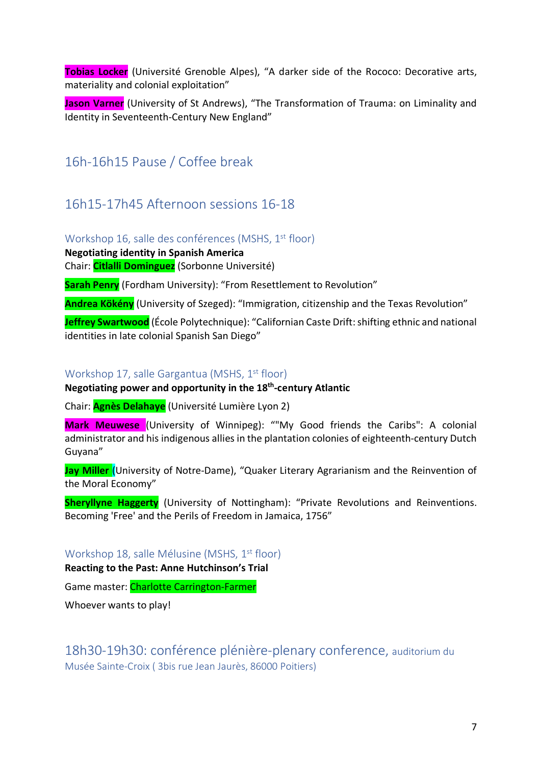**Tobias Locker** (Université Grenoble Alpes), "A darker side of the Rococo: Decorative arts, materiality and colonial exploitation"

**Jason Varner** (University of St Andrews), "The Transformation of Trauma: on Liminality and Identity in Seventeenth-Century New England"

# 16h-16h15 Pause / Coffee break

## 16h15-17h45 Afternoon sessions 16-18

Workshop 16, salle des conférences (MSHS, 1<sup>st</sup> floor)

**Negotiating identity in Spanish America** Chair: **Citlalli Dominguez** (Sorbonne Université)

**Sarah Penry** (Fordham University): "From Resettlement to Revolution"

**Andrea Kökény** (University of Szeged): "Immigration, citizenship and the Texas Revolution"

**Jeffrey Swartwood** (École Polytechnique): "Californian Caste Drift: shifting ethnic and national identities in late colonial Spanish San Diego"

## Workshop 17, salle Gargantua (MSHS, 1<sup>st</sup> floor)

## **Negotiating power and opportunity in the 18th-century Atlantic**

Chair: **Agnès Delahaye** (Université Lumière Lyon 2)

**Mark Meuwese** (University of Winnipeg): ""My Good friends the Caribs": A colonial administrator and his indigenous allies in the plantation colonies of eighteenth-century Dutch Guyana"

**Jay Miller** (University of Notre-Dame), "Quaker Literary Agrarianism and the Reinvention of the Moral Economy"

**Sheryllyne Haggerty** (University of Nottingham): "Private Revolutions and Reinventions. Becoming 'Free' and the Perils of Freedom in Jamaica, 1756"

Workshop 18, salle Mélusine (MSHS, 1<sup>st</sup> floor)

**Reacting to the Past: Anne Hutchinson's Trial**

Game master: Charlotte Carrington-Farmer

Whoever wants to play!

18h30-19h30: conférence plénière-plenary conference, auditorium du Musée Sainte-Croix ( 3bis rue Jean Jaurès, 86000 Poitiers)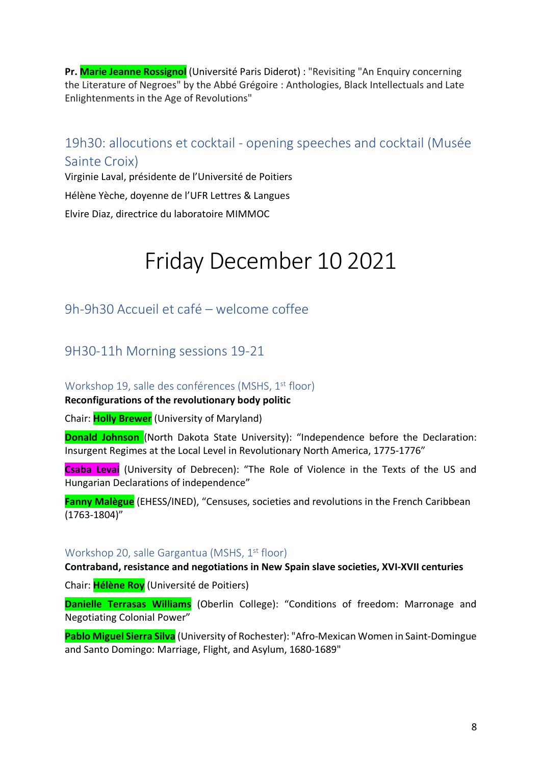**Pr. Marie Jeanne Rossignol** (Université Paris Diderot) : "Revisiting "An Enquiry concerning the Literature of Negroes" by the Abbé Grégoire : Anthologies, Black Intellectuals and Late Enlightenments in the Age of Revolutions"

## 19h30: allocutions et cocktail - opening speeches and cocktail (Musée Sainte Croix)

Virginie Laval, présidente de l'Université de Poitiers Hélène Yèche, doyenne de l'UFR Lettres & Langues Elvire Diaz, directrice du laboratoire MIMMOC

# Friday December 10 2021

## 9h-9h30 Accueil et café – welcome coffee

## 9H30-11h Morning sessions 19-21

## Workshop 19, salle des conférences (MSHS, 1<sup>st</sup> floor)

#### **Reconfigurations of the revolutionary body politic**

Chair: **Holly Brewer** (University of Maryland)

**Donald Johnson** (North Dakota State University): "Independence before the Declaration: Insurgent Regimes at the Local Level in Revolutionary North America, 1775-1776"

**Csaba Levai** (University of Debrecen): "The Role of Violence in the Texts of the US and Hungarian Declarations of independence"

**Fanny Malègue** (EHESS/INED), "Censuses, societies and revolutions in the French Caribbean (1763-1804)"

## Workshop 20, salle Gargantua (MSHS, 1<sup>st</sup> floor)

**Contraband, resistance and negotiations in New Spain slave societies, XVI-XVII centuries**

Chair: **Hélène Roy** (Université de Poitiers)

**Danielle Terrasas Williams** (Oberlin College): "Conditions of freedom: Marronage and Negotiating Colonial Power"

**Pablo Miguel Sierra Silva** (University of Rochester): "Afro-Mexican Women in Saint-Domingue and Santo Domingo: Marriage, Flight, and Asylum, 1680-1689"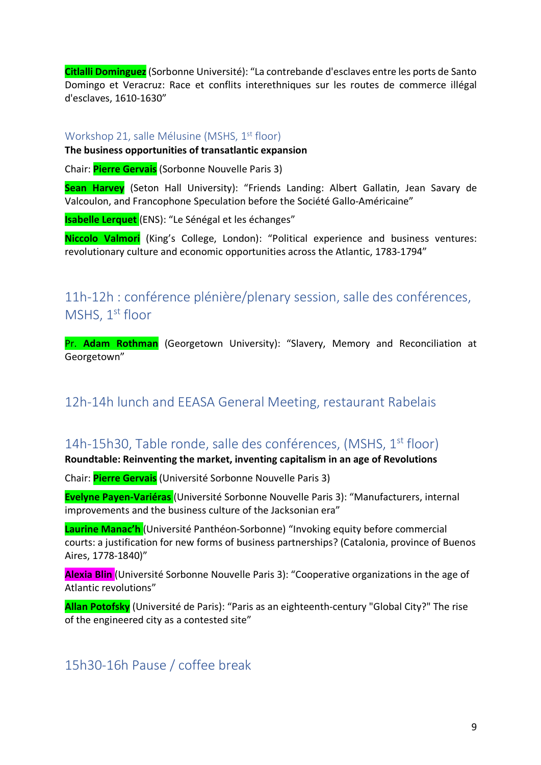**Citlalli Dominguez**(Sorbonne Université): "La contrebande d'esclaves entre les ports de Santo Domingo et Veracruz: Race et conflits interethniques sur les routes de commerce illégal d'esclaves, 1610-1630"

## Workshop 21, salle Mélusine (MSHS, 1<sup>st</sup> floor)

#### **The business opportunities of transatlantic expansion**

Chair: **Pierre Gervais** (Sorbonne Nouvelle Paris 3)

**Sean Harvey** (Seton Hall University): "Friends Landing: Albert Gallatin, Jean Savary de Valcoulon, and Francophone Speculation before the Société Gallo-Américaine"

**Isabelle Lerquet** (ENS): "Le Sénégal et les échanges"

**Niccolo Valmori** (King's College, London): "Political experience and business ventures: revolutionary culture and economic opportunities across the Atlantic, 1783-1794"

# 11h-12h : conférence plénière/plenary session, salle des conférences, MSHS, 1<sup>st</sup> floor

Pr. **Adam Rothman** (Georgetown University): "Slavery, Memory and Reconciliation at Georgetown"

# 12h-14h lunch and EEASA General Meeting, restaurant Rabelais

# 14h-15h30, Table ronde, salle des conférences, (MSHS,  $1<sup>st</sup>$  floor)

## **Roundtable: Reinventing the market, inventing capitalism in an age of Revolutions**

Chair: **Pierre Gervais** (Université Sorbonne Nouvelle Paris 3)

**Evelyne Payen-Variéras** (Université Sorbonne Nouvelle Paris 3): "Manufacturers, internal improvements and the business culture of the Jacksonian era"

**Laurine Manac'h** (Université Panthéon-Sorbonne) "Invoking equity before commercial courts: a justification for new forms of business partnerships? (Catalonia, province of Buenos Aires, 1778-1840)"

**Alexia Blin** (Université Sorbonne Nouvelle Paris 3): "Cooperative organizations in the age of Atlantic revolutions"

**Allan Potofsky** (Université de Paris): "Paris as an eighteenth-century "Global City?" The rise of the engineered city as a contested site"

# 15h30-16h Pause / coffee break